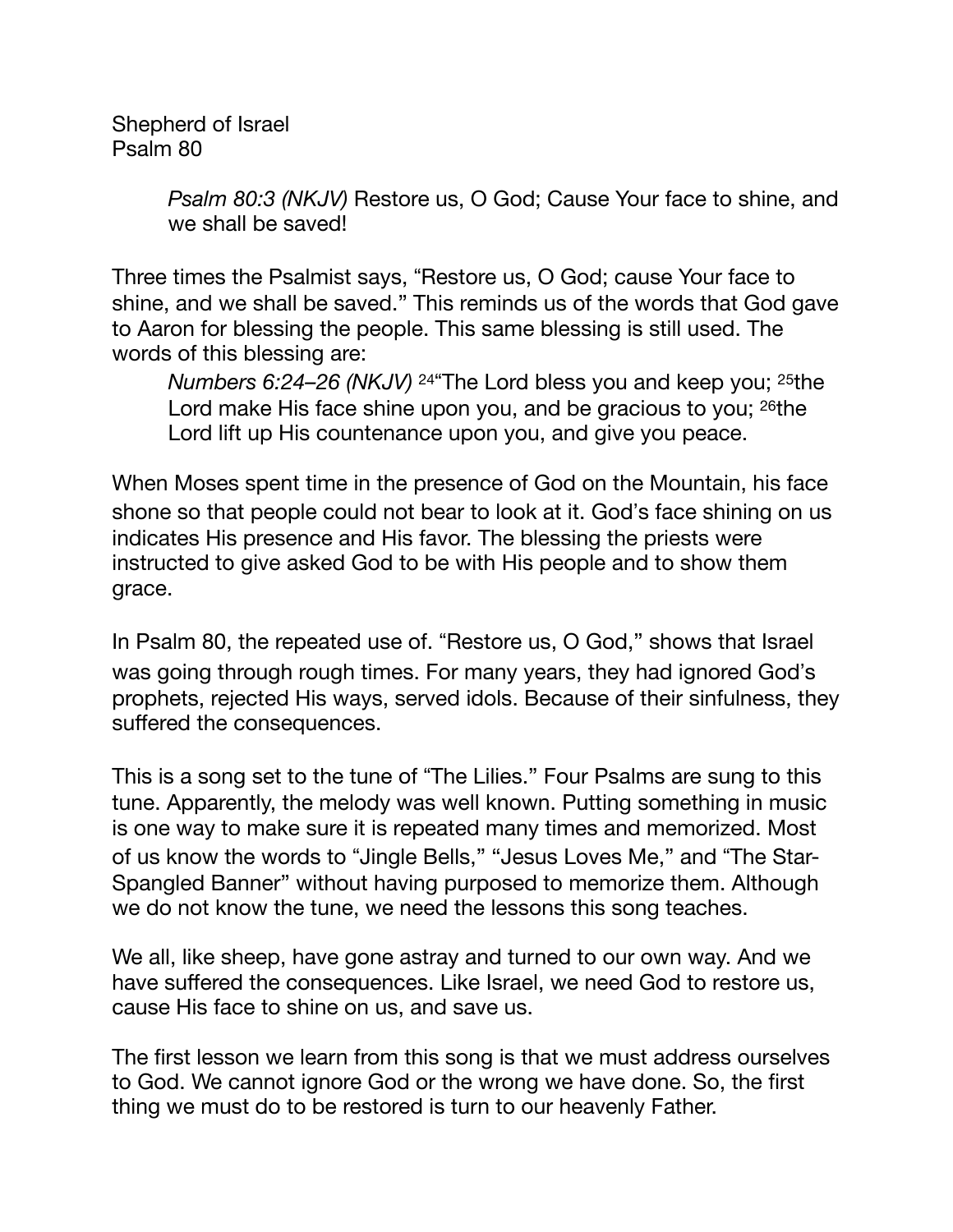Shepherd of Israel Psalm 80

> *Psalm 80:3 (NKJV)* Restore us, O God; Cause Your face to shine, and we shall be saved!

Three times the Psalmist says, "Restore us, O God; cause Your face to shine, and we shall be saved." This reminds us of the words that God gave to Aaron for blessing the people. This same blessing is still used. The words of this blessing are:

*Numbers 6:24–26 (NKJV)* <sup>24</sup> The Lord bless you and keep you; <sup>25</sup>the Lord make His face shine upon you, and be gracious to you; <sup>26</sup>the Lord lift up His countenance upon you, and give you peace.

When Moses spent time in the presence of God on the Mountain, his face shone so that people could not bear to look at it. God's face shining on us indicates His presence and His favor. The blessing the priests were instructed to give asked God to be with His people and to show them grace.

In Psalm 80, the repeated use of. "Restore us, O God," shows that Israel was going through rough times. For many years, they had ignored God"s prophets, rejected His ways, served idols. Because of their sinfulness, they suffered the consequences.

This is a song set to the tune of "The Lilies." Four Psalms are sung to this tune. Apparently, the melody was well known. Putting something in music is one way to make sure it is repeated many times and memorized. Most of us know the words to "Jingle Bells," "Jesus Loves Me," and "The Star-Spangled Banner" without having purposed to memorize them. Although we do not know the tune, we need the lessons this song teaches.

We all, like sheep, have gone astray and turned to our own way. And we have suffered the consequences. Like Israel, we need God to restore us, cause His face to shine on us, and save us.

The first lesson we learn from this song is that we must address ourselves to God. We cannot ignore God or the wrong we have done. So, the first thing we must do to be restored is turn to our heavenly Father.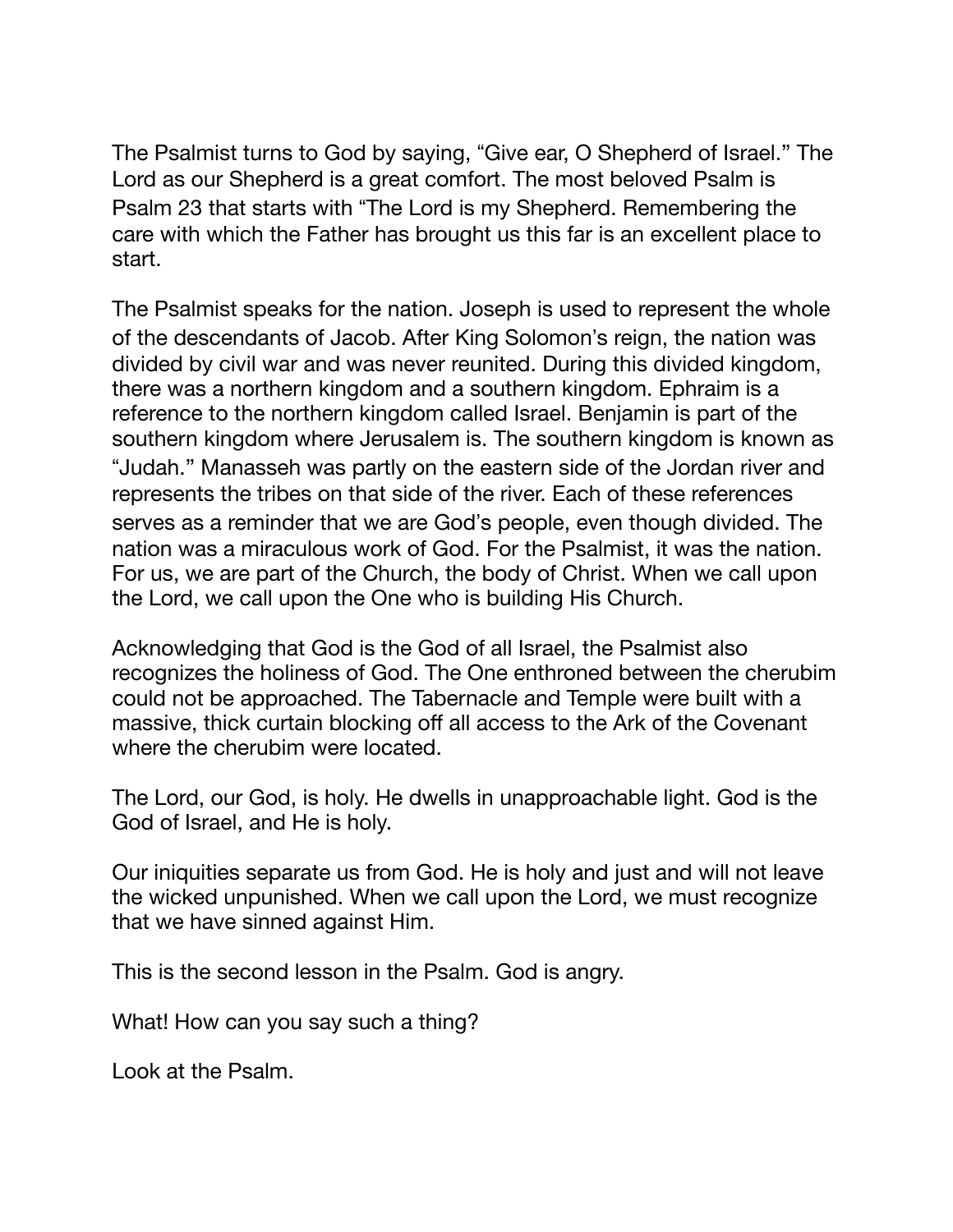The Psalmist turns to God by saying, "Give ear, O Shepherd of Israel." The Lord as our Shepherd is a great comfort. The most beloved Psalm is Psalm 23 that starts with "The Lord is my Shepherd. Remembering the care with which the Father has brought us this far is an excellent place to start.

The Psalmist speaks for the nation. Joseph is used to represent the whole of the descendants of Jacob. After King Solomon"s reign, the nation was divided by civil war and was never reunited. During this divided kingdom, there was a northern kingdom and a southern kingdom. Ephraim is a reference to the northern kingdom called Israel. Benjamin is part of the southern kingdom where Jerusalem is. The southern kingdom is known as "Judah." Manasseh was partly on the eastern side of the Jordan river and represents the tribes on that side of the river. Each of these references serves as a reminder that we are God"s people, even though divided. The nation was a miraculous work of God. For the Psalmist, it was the nation. For us, we are part of the Church, the body of Christ. When we call upon the Lord, we call upon the One who is building His Church.

Acknowledging that God is the God of all Israel, the Psalmist also recognizes the holiness of God. The One enthroned between the cherubim could not be approached. The Tabernacle and Temple were built with a massive, thick curtain blocking off all access to the Ark of the Covenant where the cherubim were located.

The Lord, our God, is holy. He dwells in unapproachable light. God is the God of Israel, and He is holy.

Our iniquities separate us from God. He is holy and just and will not leave the wicked unpunished. When we call upon the Lord, we must recognize that we have sinned against Him.

This is the second lesson in the Psalm. God is angry.

What! How can you say such a thing?

Look at the Psalm.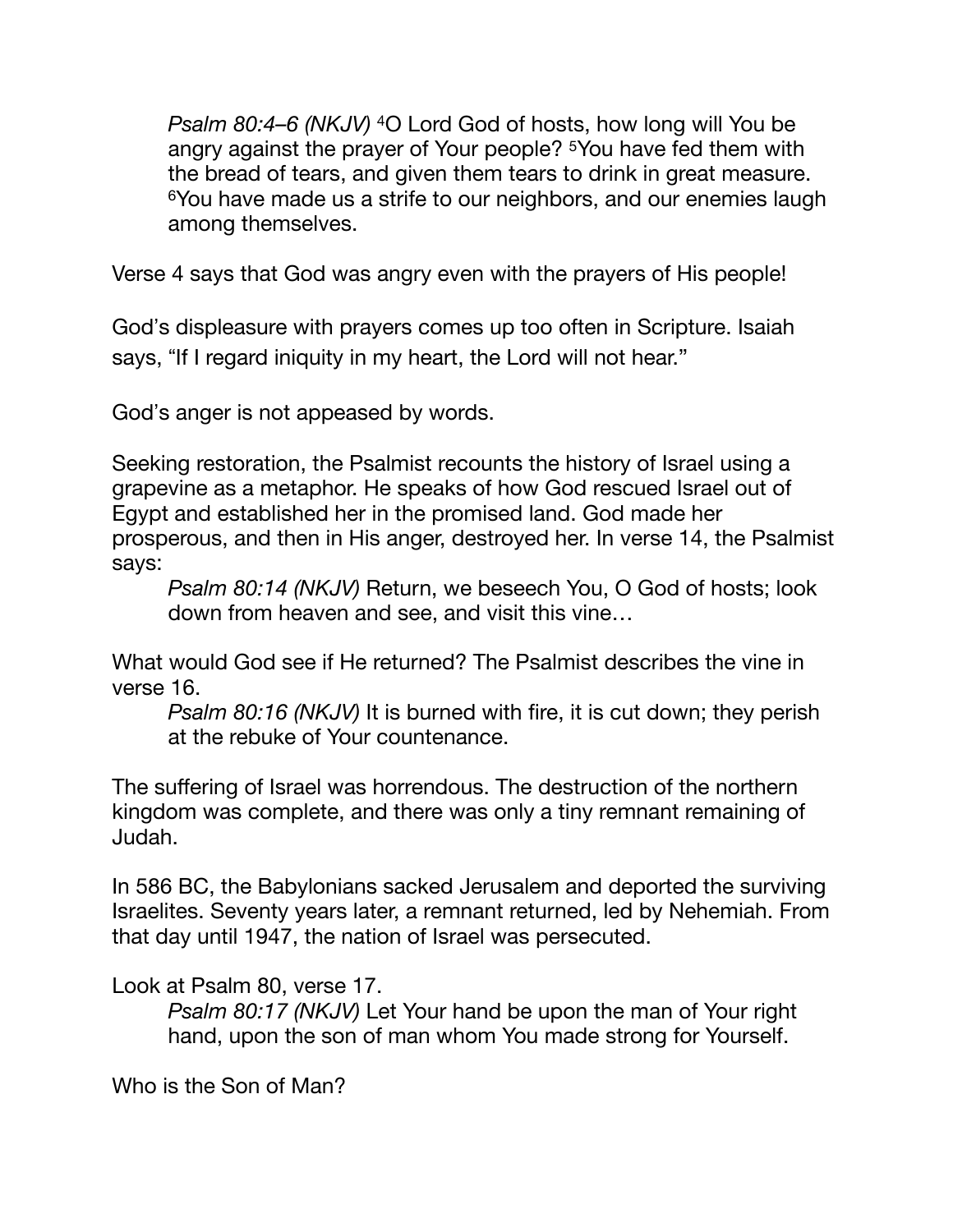*Psalm 80:4–6 (NKJV)* 4O Lord God of hosts, how long will You be angry against the prayer of Your people? 5You have fed them with the bread of tears, and given them tears to drink in great measure. 6You have made us a strife to our neighbors, and our enemies laugh among themselves.

Verse 4 says that God was angry even with the prayers of His people!

God"s displeasure with prayers comes up too often in Scripture. Isaiah says, "If I regard iniquity in my heart, the Lord will not hear."

God"s anger is not appeased by words.

Seeking restoration, the Psalmist recounts the history of Israel using a grapevine as a metaphor. He speaks of how God rescued Israel out of Egypt and established her in the promised land. God made her prosperous, and then in His anger, destroyed her. In verse 14, the Psalmist says:

*Psalm 80:14 (NKJV)* Return, we beseech You, O God of hosts; look down from heaven and see, and visit this vine…

What would God see if He returned? The Psalmist describes the vine in verse 16.

*Psalm 80:16 (NKJV)* It is burned with fire, it is cut down; they perish at the rebuke of Your countenance.

The suffering of Israel was horrendous. The destruction of the northern kingdom was complete, and there was only a tiny remnant remaining of Judah.

In 586 BC, the Babylonians sacked Jerusalem and deported the surviving Israelites. Seventy years later, a remnant returned, led by Nehemiah. From that day until 1947, the nation of Israel was persecuted.

Look at Psalm 80, verse 17.

*Psalm 80:17 (NKJV)* Let Your hand be upon the man of Your right hand, upon the son of man whom You made strong for Yourself.

Who is the Son of Man?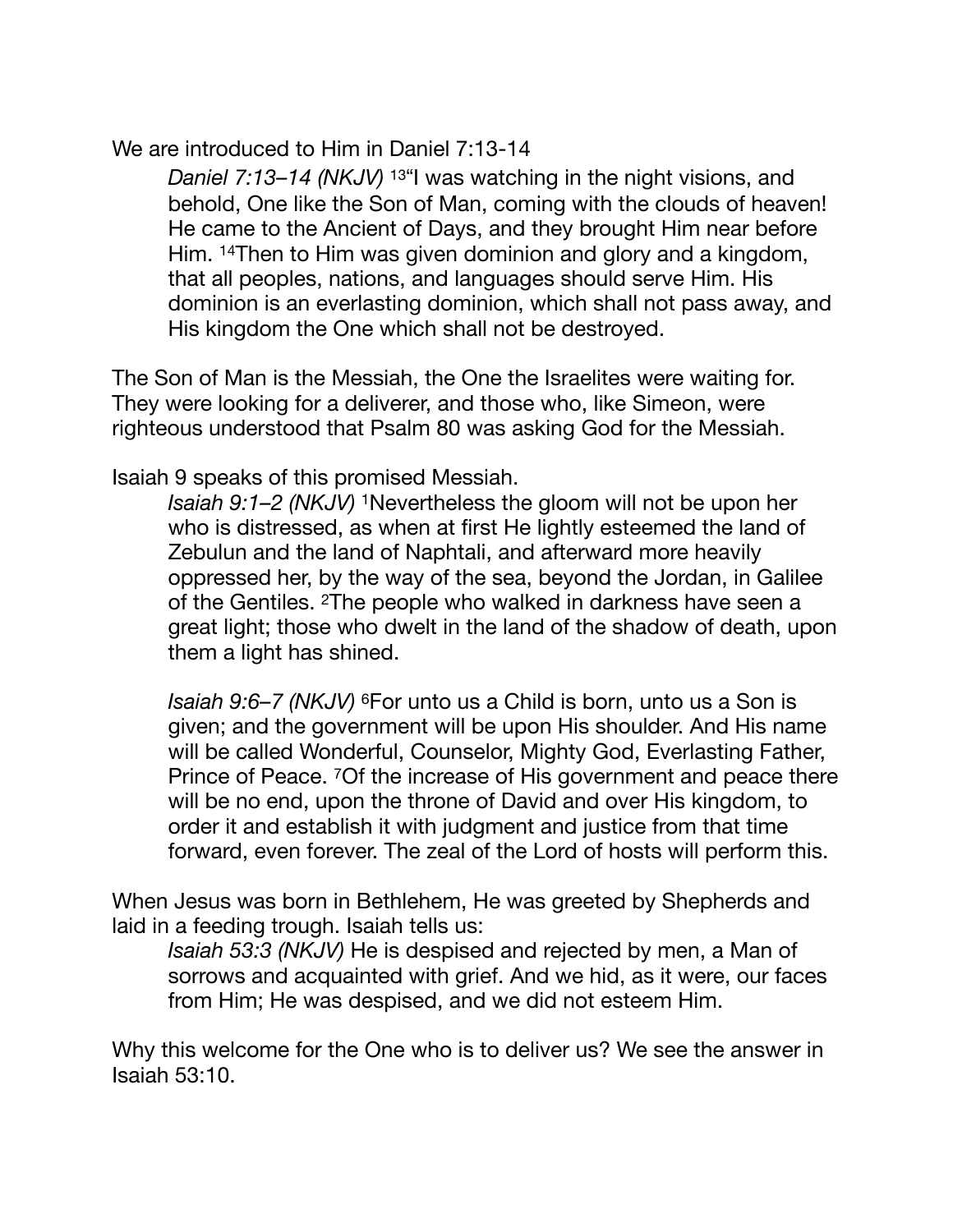We are introduced to Him in Daniel 7:13-14

*Daniel 7:13–14 (NKJV)* <sup>13"</sup>I was watching in the night visions, and behold, One like the Son of Man, coming with the clouds of heaven! He came to the Ancient of Days, and they brought Him near before Him. 14Then to Him was given dominion and glory and a kingdom, that all peoples, nations, and languages should serve Him. His dominion is an everlasting dominion, which shall not pass away, and His kingdom the One which shall not be destroyed.

The Son of Man is the Messiah, the One the Israelites were waiting for. They were looking for a deliverer, and those who, like Simeon, were righteous understood that Psalm 80 was asking God for the Messiah.

Isaiah 9 speaks of this promised Messiah.

*Isaiah 9:1–2 (NKJV)* 1Nevertheless the gloom will not be upon her who is distressed, as when at first He lightly esteemed the land of Zebulun and the land of Naphtali, and afterward more heavily oppressed her, by the way of the sea, beyond the Jordan, in Galilee of the Gentiles. 2The people who walked in darkness have seen a great light; those who dwelt in the land of the shadow of death, upon them a light has shined.

*Isaiah 9:6–7 (NKJV)* 6For unto us a Child is born, unto us a Son is given; and the government will be upon His shoulder. And His name will be called Wonderful, Counselor, Mighty God, Everlasting Father, Prince of Peace. 7Of the increase of His government and peace there will be no end, upon the throne of David and over His kingdom, to order it and establish it with judgment and justice from that time forward, even forever. The zeal of the Lord of hosts will perform this.

When Jesus was born in Bethlehem, He was greeted by Shepherds and laid in a feeding trough. Isaiah tells us:

*Isaiah 53:3 (NKJV)* He is despised and rejected by men, a Man of sorrows and acquainted with grief. And we hid, as it were, our faces from Him; He was despised, and we did not esteem Him.

Why this welcome for the One who is to deliver us? We see the answer in Isaiah 53:10.